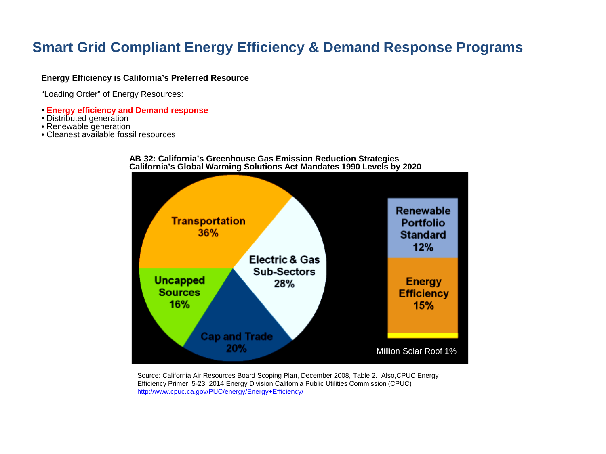## **Smart Grid Compliant Energy Efficiency & Demand Response Programs**

#### **Energy Efficiency is California's Preferred Resource**

"Loading Order" of Energy Resources:

- **Energy efficiency and Demand response**
- Distributed generation
- Renewable generation
- Cleanest available fossil resources



#### **AB 32: California's Greenhouse Gas Emission Reduction Strategies California's Global Warming Solutions Act Mandates 1990 Levels by 2020**

Source: California Air Resources Board Scoping Plan, December 2008, Table 2. Also,CPUC Energy Efficiency Primer 5-23, 2014 Energy Division California Public Utilities Commission (CPUC) <http://www.cpuc.ca.gov/PUC/energy/Energy+Efficiency/>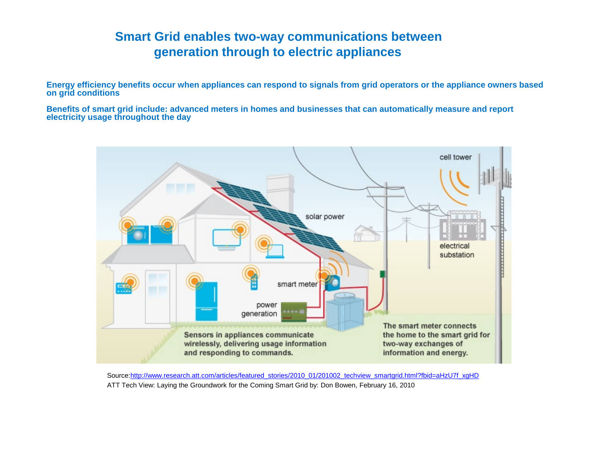### **Smart Grid enables two-way communications between generation through to electric appliances**

**Energy efficiency benefits occur when appliances can respond to signals from grid operators or the appliance owners based on grid conditions**

**Benefits of smart grid include: advanced meters in homes and businesses that can automatically measure and report electricity usage throughout the day**



Source:[http://www.research.att.com/articles/featured\\_stories/2010\\_01/201002\\_techview\\_smartgrid.html?fbid=aHzU7f\\_xgHD](http://www.research.att.com/articles/featured_stories/2010_01/201002_techview_smartgrid.html?fbid=aHzU7f_xgHD) ATT Tech View: Laying the Groundwork for the Coming Smart Grid by: Don Bowen, February 16, 2010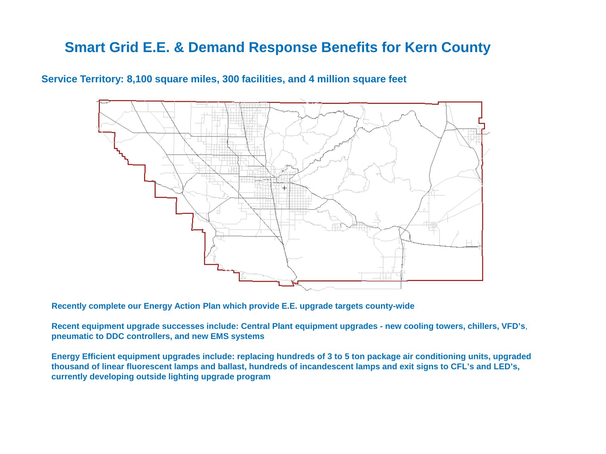## **Smart Grid E.E. & Demand Response Benefits for Kern County**

### **Service Territory: 8,100 square miles, 300 facilities, and 4 million square feet**



**Recently complete our Energy Action Plan which provide E.E. upgrade targets county-wide**

**Recent equipment upgrade successes include: Central Plant equipment upgrades - new cooling towers, chillers, VFD's**, **pneumatic to DDC controllers, and new EMS systems** 

**Energy Efficient equipment upgrades include: replacing hundreds of 3 to 5 ton package air conditioning units, upgraded thousand of linear fluorescent lamps and ballast, hundreds of incandescent lamps and exit signs to CFL's and LED's, currently developing outside lighting upgrade program**